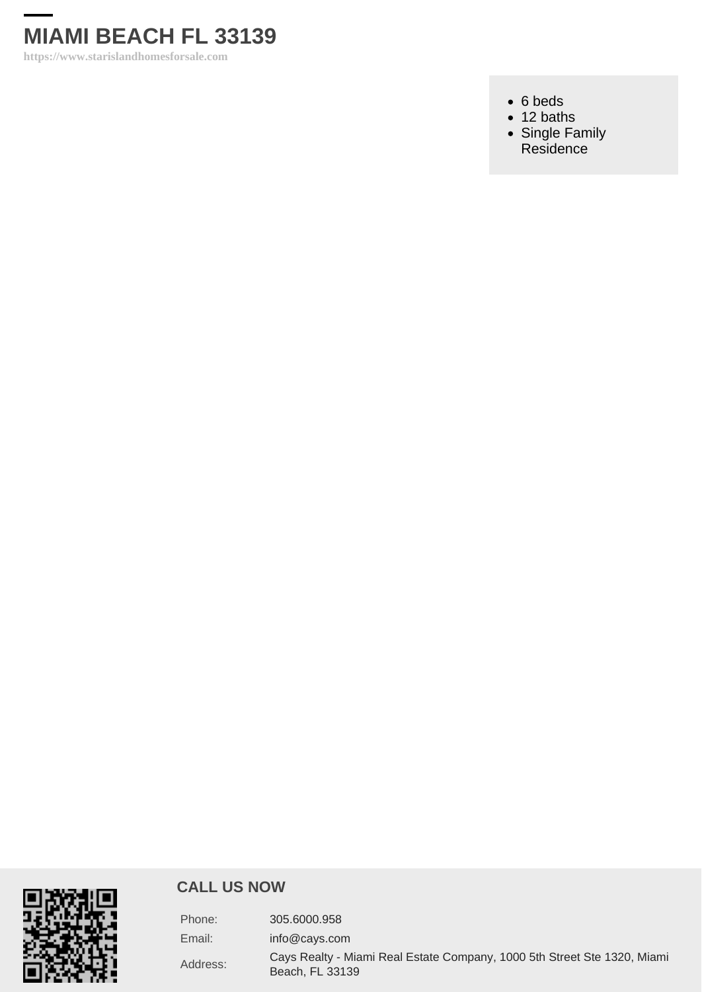

https://www.starislandhomesforsale.com

- 6 beds
- $\cdot$  12 baths
- [Single Family](https://www.starislandhomesforsale.com/es_type/single-family-residence/) [Residence](https://www.starislandhomesforsale.com/es_type/single-family-residence/)

#### CALL US NOW

| Phone:   | 305.6000.958                                                                                |
|----------|---------------------------------------------------------------------------------------------|
| Email:   | info@cays.com                                                                               |
| Address: | Cays Realty - Miami Real Estate Company, 1000 5th Street Ste 1320, Miami<br>Beach, FL 33139 |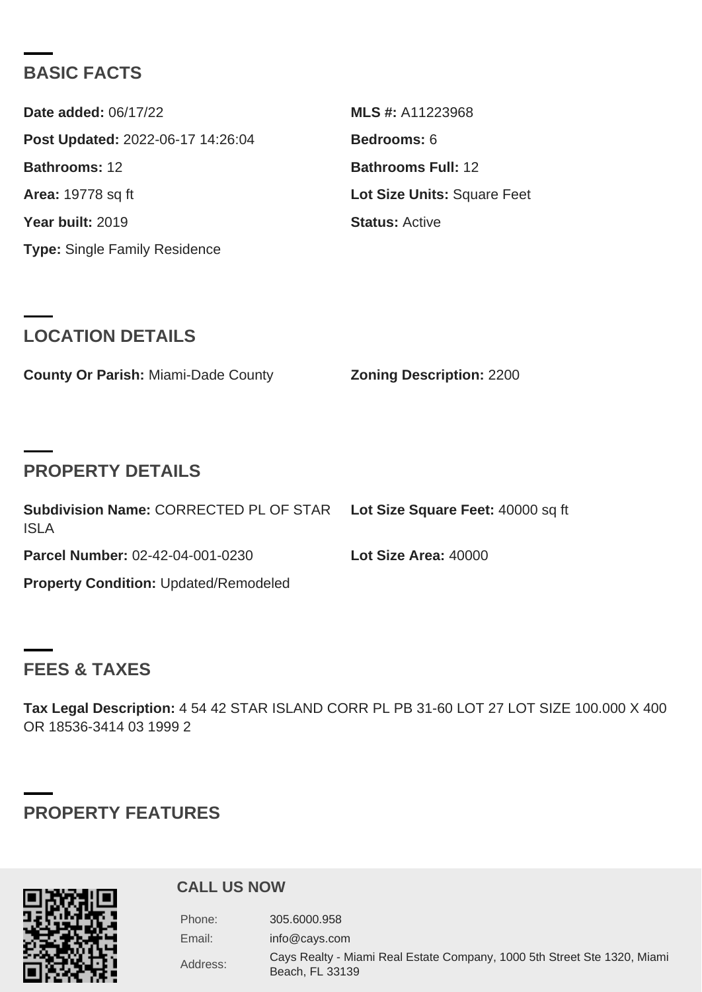## BASIC FACTS

| Date added: 06/17/22              | MLS #: A11223968            |
|-----------------------------------|-----------------------------|
| Post Updated: 2022-06-17 14:26:04 | Bedrooms: 6                 |
| Bathrooms: 12                     | Bathrooms Full: 12          |
| Area: 19778 sg ft                 | Lot Size Units: Square Feet |
| Year built: 2019                  | Status: Active              |
| Type: Single Family Residence     |                             |

## LOCATION DETAILS

County Or Parish: Miami-Dade County **Zoning Description: 2200** 

# PROPERTY DETAILS

| <b>ISLA</b>                           | Subdivision Name: CORRECTED PL OF STAR Lot Size Square Feet: 40000 sq ft |                      |  |
|---------------------------------------|--------------------------------------------------------------------------|----------------------|--|
| Parcel Number: 02-42-04-001-0230      |                                                                          | Lot Size Area: 40000 |  |
| Property Condition: Updated/Remodeled |                                                                          |                      |  |

## FEES & TAXES

Tax Legal Description: 4 54 42 STAR ISLAND CORR PL PB 31-60 LOT 27 LOT SIZE 100.000 X 400 OR 18536-3414 03 1999 2

# PROPERTY FEATURES

#### CALL US NOW

| Phone:   | 305.6000.958                                                                                |
|----------|---------------------------------------------------------------------------------------------|
| Email:   | info@cays.com                                                                               |
| Address: | Cays Realty - Miami Real Estate Company, 1000 5th Street Ste 1320, Miami<br>Beach, FL 33139 |